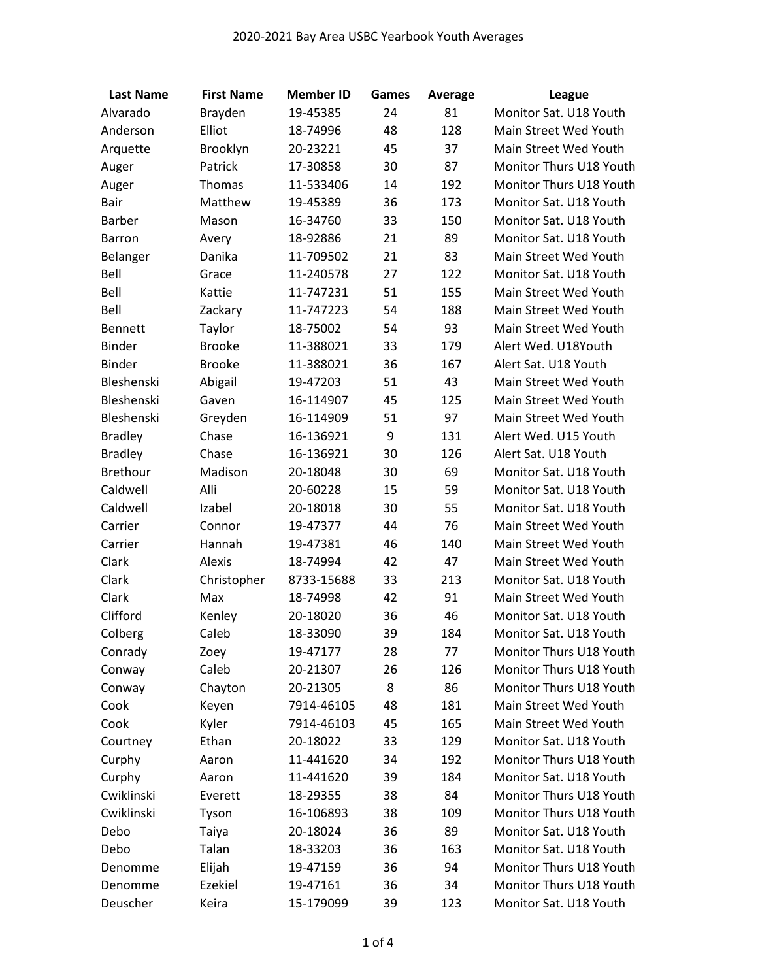| <b>Last Name</b> | <b>First Name</b> | <b>Member ID</b> | Games | Average | <b>League</b>           |
|------------------|-------------------|------------------|-------|---------|-------------------------|
| Alvarado         | Brayden           | 19-45385         | 24    | 81      | Monitor Sat. U18 Youth  |
| Anderson         | Elliot            | 18-74996         | 48    | 128     | Main Street Wed Youth   |
| Arquette         | Brooklyn          | 20-23221         | 45    | 37      | Main Street Wed Youth   |
| Auger            | Patrick           | 17-30858         | 30    | 87      | Monitor Thurs U18 Youth |
| Auger            | Thomas            | 11-533406        | 14    | 192     | Monitor Thurs U18 Youth |
| Bair             | Matthew           | 19-45389         | 36    | 173     | Monitor Sat. U18 Youth  |
| <b>Barber</b>    | Mason             | 16-34760         | 33    | 150     | Monitor Sat. U18 Youth  |
| Barron           | Avery             | 18-92886         | 21    | 89      | Monitor Sat. U18 Youth  |
| Belanger         | Danika            | 11-709502        | 21    | 83      | Main Street Wed Youth   |
| Bell             | Grace             | 11-240578        | 27    | 122     | Monitor Sat. U18 Youth  |
| Bell             | Kattie            | 11-747231        | 51    | 155     | Main Street Wed Youth   |
| Bell             | Zackary           | 11-747223        | 54    | 188     | Main Street Wed Youth   |
| Bennett          | Taylor            | 18-75002         | 54    | 93      | Main Street Wed Youth   |
| <b>Binder</b>    | <b>Brooke</b>     | 11-388021        | 33    | 179     | Alert Wed. U18Youth     |
| <b>Binder</b>    | <b>Brooke</b>     | 11-388021        | 36    | 167     | Alert Sat. U18 Youth    |
| Bleshenski       | Abigail           | 19-47203         | 51    | 43      | Main Street Wed Youth   |
| Bleshenski       | Gaven             | 16-114907        | 45    | 125     | Main Street Wed Youth   |
| Bleshenski       | Greyden           | 16-114909        | 51    | 97      | Main Street Wed Youth   |
| <b>Bradley</b>   | Chase             | 16-136921        | 9     | 131     | Alert Wed. U15 Youth    |
| <b>Bradley</b>   | Chase             | 16-136921        | 30    | 126     | Alert Sat. U18 Youth    |
| Brethour         | Madison           | 20-18048         | 30    | 69      | Monitor Sat. U18 Youth  |
| Caldwell         | Alli              | 20-60228         | 15    | 59      | Monitor Sat. U18 Youth  |
| Caldwell         | Izabel            | 20-18018         | 30    | 55      | Monitor Sat. U18 Youth  |
| Carrier          | Connor            | 19-47377         | 44    | 76      | Main Street Wed Youth   |
| Carrier          | Hannah            | 19-47381         | 46    | 140     | Main Street Wed Youth   |
| Clark            | Alexis            | 18-74994         | 42    | 47      | Main Street Wed Youth   |
| Clark            | Christopher       | 8733-15688       | 33    | 213     | Monitor Sat. U18 Youth  |
| Clark            | Max               | 18-74998         | 42    | 91      | Main Street Wed Youth   |
| Clifford         | Kenley            | 20-18020         | 36    | 46      | Monitor Sat. U18 Youth  |
| Colberg          | Caleb             | 18-33090         | 39    | 184     | Monitor Sat. U18 Youth  |
| Conrady          | Zoey              | 19-47177         | 28    | 77      | Monitor Thurs U18 Youth |
| Conway           | Caleb             | 20-21307         | 26    | 126     | Monitor Thurs U18 Youth |
| Conway           | Chayton           | 20-21305         | 8     | 86      | Monitor Thurs U18 Youth |
| Cook             | Keyen             | 7914-46105       | 48    | 181     | Main Street Wed Youth   |
| Cook             | Kyler             | 7914-46103       | 45    | 165     | Main Street Wed Youth   |
| Courtney         | Ethan             | 20-18022         | 33    | 129     | Monitor Sat. U18 Youth  |
| Curphy           | Aaron             | 11-441620        | 34    | 192     | Monitor Thurs U18 Youth |
| Curphy           | Aaron             | 11-441620        | 39    | 184     | Monitor Sat. U18 Youth  |
| Cwiklinski       | Everett           | 18-29355         | 38    | 84      | Monitor Thurs U18 Youth |
| Cwiklinski       | Tyson             | 16-106893        | 38    | 109     | Monitor Thurs U18 Youth |
| Debo             | Taiya             | 20-18024         | 36    | 89      | Monitor Sat. U18 Youth  |
| Debo             | Talan             | 18-33203         | 36    | 163     | Monitor Sat. U18 Youth  |
| Denomme          | Elijah            | 19-47159         | 36    | 94      | Monitor Thurs U18 Youth |
| Denomme          | Ezekiel           | 19-47161         | 36    | 34      | Monitor Thurs U18 Youth |
| Deuscher         | Keira             | 15-179099        | 39    | 123     | Monitor Sat. U18 Youth  |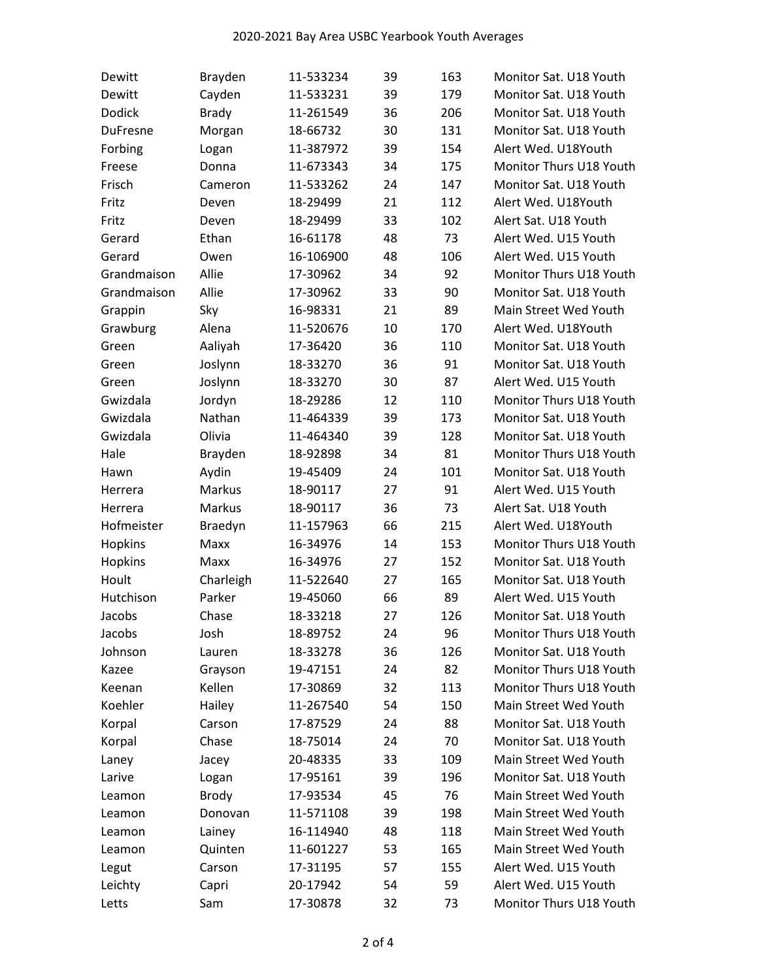| Dewitt          | Brayden      | 11-533234 | 39 | 163 | Monitor Sat. U18 Youth  |
|-----------------|--------------|-----------|----|-----|-------------------------|
| Dewitt          | Cayden       | 11-533231 | 39 | 179 | Monitor Sat. U18 Youth  |
| Dodick          | <b>Brady</b> | 11-261549 | 36 | 206 | Monitor Sat. U18 Youth  |
| <b>DuFresne</b> | Morgan       | 18-66732  | 30 | 131 | Monitor Sat. U18 Youth  |
| Forbing         | Logan        | 11-387972 | 39 | 154 | Alert Wed. U18Youth     |
| Freese          | Donna        | 11-673343 | 34 | 175 | Monitor Thurs U18 Youth |
| Frisch          | Cameron      | 11-533262 | 24 | 147 | Monitor Sat. U18 Youth  |
| Fritz           | Deven        | 18-29499  | 21 | 112 | Alert Wed. U18Youth     |
| Fritz           | Deven        | 18-29499  | 33 | 102 | Alert Sat. U18 Youth    |
| Gerard          | Ethan        | 16-61178  | 48 | 73  | Alert Wed. U15 Youth    |
| Gerard          | Owen         | 16-106900 | 48 | 106 | Alert Wed. U15 Youth    |
| Grandmaison     | Allie        | 17-30962  | 34 | 92  | Monitor Thurs U18 Youth |
| Grandmaison     | Allie        | 17-30962  | 33 | 90  | Monitor Sat. U18 Youth  |
| Grappin         | Sky          | 16-98331  | 21 | 89  | Main Street Wed Youth   |
| Grawburg        | Alena        | 11-520676 | 10 | 170 | Alert Wed. U18Youth     |
| Green           | Aaliyah      | 17-36420  | 36 | 110 | Monitor Sat. U18 Youth  |
| Green           | Joslynn      | 18-33270  | 36 | 91  | Monitor Sat. U18 Youth  |
| Green           | Joslynn      | 18-33270  | 30 | 87  | Alert Wed. U15 Youth    |
| Gwizdala        | Jordyn       | 18-29286  | 12 | 110 | Monitor Thurs U18 Youth |
| Gwizdala        | Nathan       | 11-464339 | 39 | 173 | Monitor Sat. U18 Youth  |
| Gwizdala        | Olivia       | 11-464340 | 39 | 128 | Monitor Sat. U18 Youth  |
| Hale            | Brayden      | 18-92898  | 34 | 81  | Monitor Thurs U18 Youth |
| Hawn            | Aydin        | 19-45409  | 24 | 101 | Monitor Sat. U18 Youth  |
| Herrera         | Markus       | 18-90117  | 27 | 91  | Alert Wed. U15 Youth    |
| Herrera         | Markus       | 18-90117  | 36 | 73  | Alert Sat. U18 Youth    |
| Hofmeister      | Braedyn      | 11-157963 | 66 | 215 | Alert Wed. U18Youth     |
| Hopkins         | Maxx         | 16-34976  | 14 | 153 | Monitor Thurs U18 Youth |
| Hopkins         | Maxx         | 16-34976  | 27 | 152 | Monitor Sat. U18 Youth  |
| Hoult           | Charleigh    | 11-522640 | 27 | 165 | Monitor Sat. U18 Youth  |
| Hutchison       | Parker       | 19-45060  | 66 | 89  | Alert Wed. U15 Youth    |
| Jacobs          | Chase        | 18-33218  | 27 | 126 | Monitor Sat. U18 Youth  |
| Jacobs          | Josh         | 18-89752  | 24 | 96  | Monitor Thurs U18 Youth |
| Johnson         | Lauren       | 18-33278  | 36 | 126 | Monitor Sat. U18 Youth  |
| Kazee           | Grayson      | 19-47151  | 24 | 82  | Monitor Thurs U18 Youth |
| Keenan          | Kellen       | 17-30869  | 32 | 113 | Monitor Thurs U18 Youth |
| Koehler         | Hailey       | 11-267540 | 54 | 150 | Main Street Wed Youth   |
| Korpal          | Carson       | 17-87529  | 24 | 88  | Monitor Sat. U18 Youth  |
| Korpal          | Chase        | 18-75014  | 24 | 70  | Monitor Sat. U18 Youth  |
| Laney           | Jacey        | 20-48335  | 33 | 109 | Main Street Wed Youth   |
| Larive          | Logan        | 17-95161  | 39 | 196 | Monitor Sat. U18 Youth  |
| Leamon          | <b>Brody</b> | 17-93534  | 45 | 76  | Main Street Wed Youth   |
| Leamon          | Donovan      | 11-571108 | 39 | 198 | Main Street Wed Youth   |
| Leamon          | Lainey       | 16-114940 | 48 | 118 | Main Street Wed Youth   |
| Leamon          | Quinten      | 11-601227 | 53 | 165 | Main Street Wed Youth   |
| Legut           | Carson       | 17-31195  | 57 | 155 | Alert Wed. U15 Youth    |
| Leichty         | Capri        | 20-17942  | 54 | 59  | Alert Wed. U15 Youth    |
| Letts           | Sam          | 17-30878  | 32 | 73  | Monitor Thurs U18 Youth |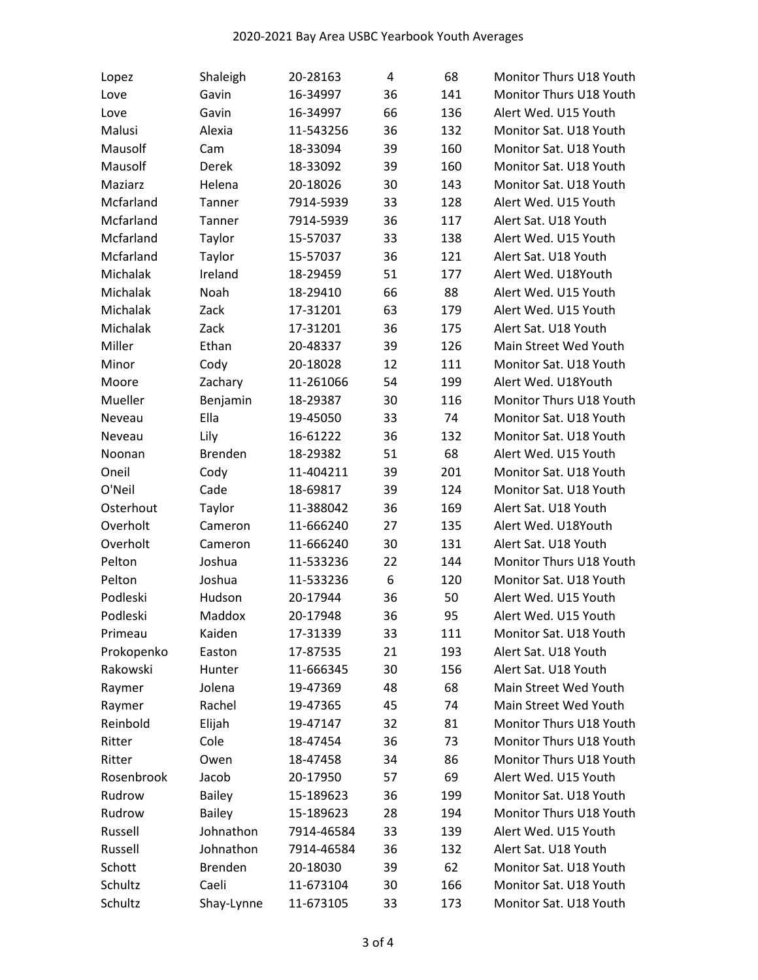| Lopez      | Shaleigh       | 20-28163   | 4  | 68  | Monitor Thurs U18 Youth |
|------------|----------------|------------|----|-----|-------------------------|
| Love       | Gavin          | 16-34997   | 36 | 141 | Monitor Thurs U18 Youth |
| Love       | Gavin          | 16-34997   | 66 | 136 | Alert Wed. U15 Youth    |
| Malusi     | Alexia         | 11-543256  | 36 | 132 | Monitor Sat. U18 Youth  |
| Mausolf    | Cam            | 18-33094   | 39 | 160 | Monitor Sat. U18 Youth  |
| Mausolf    | Derek          | 18-33092   | 39 | 160 | Monitor Sat. U18 Youth  |
| Maziarz    | Helena         | 20-18026   | 30 | 143 | Monitor Sat. U18 Youth  |
| Mcfarland  | Tanner         | 7914-5939  | 33 | 128 | Alert Wed. U15 Youth    |
| Mcfarland  | Tanner         | 7914-5939  | 36 | 117 | Alert Sat. U18 Youth    |
| Mcfarland  | Taylor         | 15-57037   | 33 | 138 | Alert Wed. U15 Youth    |
| Mcfarland  | Taylor         | 15-57037   | 36 | 121 | Alert Sat. U18 Youth    |
| Michalak   | Ireland        | 18-29459   | 51 | 177 | Alert Wed. U18Youth     |
| Michalak   | Noah           | 18-29410   | 66 | 88  | Alert Wed. U15 Youth    |
| Michalak   | Zack           | 17-31201   | 63 | 179 | Alert Wed. U15 Youth    |
| Michalak   | Zack           | 17-31201   | 36 | 175 | Alert Sat. U18 Youth    |
| Miller     | Ethan          | 20-48337   | 39 | 126 | Main Street Wed Youth   |
| Minor      | Cody           | 20-18028   | 12 | 111 | Monitor Sat. U18 Youth  |
| Moore      | Zachary        | 11-261066  | 54 | 199 | Alert Wed. U18Youth     |
| Mueller    | Benjamin       | 18-29387   | 30 | 116 | Monitor Thurs U18 Youth |
| Neveau     | Ella           | 19-45050   | 33 | 74  | Monitor Sat. U18 Youth  |
| Neveau     | Lily           | 16-61222   | 36 | 132 | Monitor Sat. U18 Youth  |
| Noonan     | <b>Brenden</b> | 18-29382   | 51 | 68  | Alert Wed. U15 Youth    |
| Oneil      | Cody           | 11-404211  | 39 | 201 | Monitor Sat. U18 Youth  |
| O'Neil     | Cade           | 18-69817   | 39 | 124 | Monitor Sat. U18 Youth  |
| Osterhout  | Taylor         | 11-388042  | 36 | 169 | Alert Sat. U18 Youth    |
| Overholt   | Cameron        | 11-666240  | 27 | 135 | Alert Wed. U18Youth     |
| Overholt   | Cameron        | 11-666240  | 30 | 131 | Alert Sat. U18 Youth    |
| Pelton     | Joshua         | 11-533236  | 22 | 144 | Monitor Thurs U18 Youth |
| Pelton     | Joshua         | 11-533236  | 6  | 120 | Monitor Sat. U18 Youth  |
| Podleski   | Hudson         | 20-17944   | 36 | 50  | Alert Wed. U15 Youth    |
| Podleski   | Maddox         | 20-17948   | 36 | 95  | Alert Wed. U15 Youth    |
| Primeau    | Kaiden         | 17-31339   | 33 | 111 | Monitor Sat. U18 Youth  |
| Prokopenko | Easton         | 17-87535   | 21 | 193 | Alert Sat. U18 Youth    |
| Rakowski   | Hunter         | 11-666345  | 30 | 156 | Alert Sat. U18 Youth    |
| Raymer     | Jolena         | 19-47369   | 48 | 68  | Main Street Wed Youth   |
| Raymer     | Rachel         | 19-47365   | 45 | 74  | Main Street Wed Youth   |
| Reinbold   | Elijah         | 19-47147   | 32 | 81  | Monitor Thurs U18 Youth |
| Ritter     | Cole           | 18-47454   | 36 | 73  | Monitor Thurs U18 Youth |
| Ritter     | Owen           | 18-47458   | 34 | 86  | Monitor Thurs U18 Youth |
| Rosenbrook | Jacob          | 20-17950   | 57 | 69  | Alert Wed. U15 Youth    |
| Rudrow     | <b>Bailey</b>  | 15-189623  | 36 | 199 | Monitor Sat. U18 Youth  |
| Rudrow     | <b>Bailey</b>  | 15-189623  | 28 | 194 | Monitor Thurs U18 Youth |
| Russell    | Johnathon      | 7914-46584 | 33 | 139 | Alert Wed. U15 Youth    |
| Russell    | Johnathon      | 7914-46584 | 36 | 132 | Alert Sat. U18 Youth    |
| Schott     | Brenden        | 20-18030   | 39 | 62  | Monitor Sat. U18 Youth  |
| Schultz    | Caeli          | 11-673104  | 30 | 166 | Monitor Sat. U18 Youth  |
| Schultz    | Shay-Lynne     | 11-673105  | 33 | 173 | Monitor Sat. U18 Youth  |